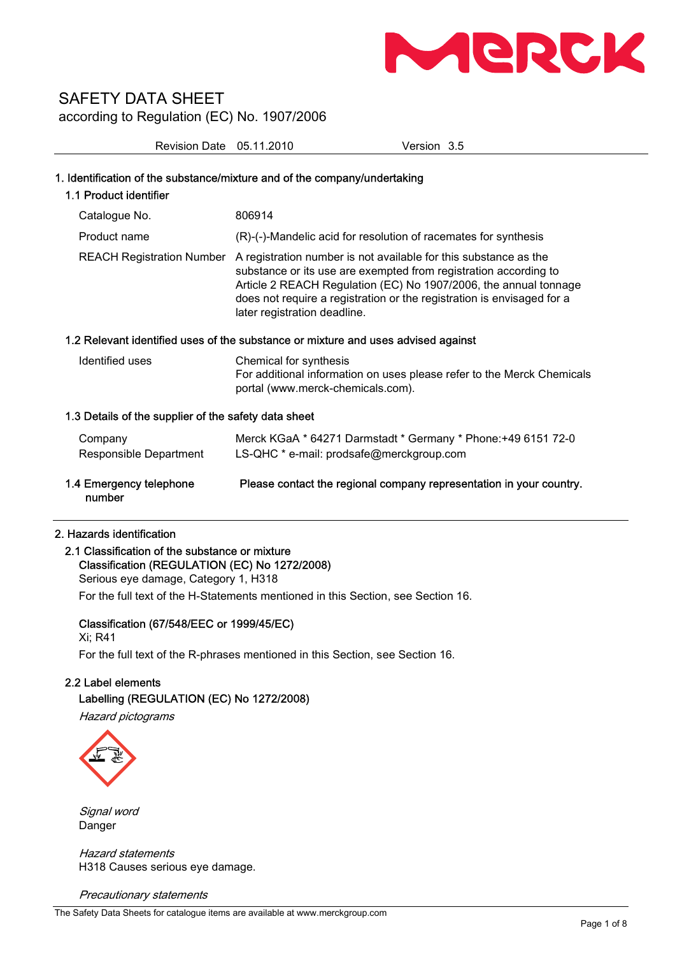

Revision Date 05.11.2010 Version 3.5

| 1. Identification of the substance/mixture and of the company/undertaking<br>1.1 Product identifier |                                                                                                                                                                                                                                                                                                                    |  |  |
|-----------------------------------------------------------------------------------------------------|--------------------------------------------------------------------------------------------------------------------------------------------------------------------------------------------------------------------------------------------------------------------------------------------------------------------|--|--|
| Catalogue No.                                                                                       | 806914                                                                                                                                                                                                                                                                                                             |  |  |
| Product name                                                                                        | (R)-(-)-Mandelic acid for resolution of racemates for synthesis                                                                                                                                                                                                                                                    |  |  |
| <b>REACH Registration Number</b>                                                                    | A registration number is not available for this substance as the<br>substance or its use are exempted from registration according to<br>Article 2 REACH Regulation (EC) No 1907/2006, the annual tonnage<br>does not require a registration or the registration is envisaged for a<br>later registration deadline. |  |  |
| 1.2 Relevant identified uses of the substance or mixture and uses advised against                   |                                                                                                                                                                                                                                                                                                                    |  |  |
| Identified uses                                                                                     | Chemical for synthesis<br>For additional information on uses please refer to the Merck Chemicals<br>portal (www.merck-chemicals.com).                                                                                                                                                                              |  |  |
| 1.3 Details of the supplier of the safety data sheet                                                |                                                                                                                                                                                                                                                                                                                    |  |  |
| Company<br>Responsible Department                                                                   | Merck KGaA * 64271 Darmstadt * Germany * Phone: +49 6151 72-0<br>LS-QHC * e-mail: prodsafe@merckgroup.com                                                                                                                                                                                                          |  |  |
| 1.4 Emergency telephone<br>number                                                                   | Please contact the regional company representation in your country.                                                                                                                                                                                                                                                |  |  |

#### 2. Hazards identification

# 2.1 Classification of the substance or mixture Classification (REGULATION (EC) No 1272/2008) Serious eye damage, Category 1, H318 For the full text of the H-Statements mentioned in this Section, see Section 16.

Classification (67/548/EEC or 1999/45/EC)

Xi; R41 For the full text of the R-phrases mentioned in this Section, see Section 16.

# 2.2 Label elements

## Labelling (REGULATION (EC) No 1272/2008)

Hazard pictograms



Signal word Danger

Hazard statements H318 Causes serious eye damage.

Precautionary statements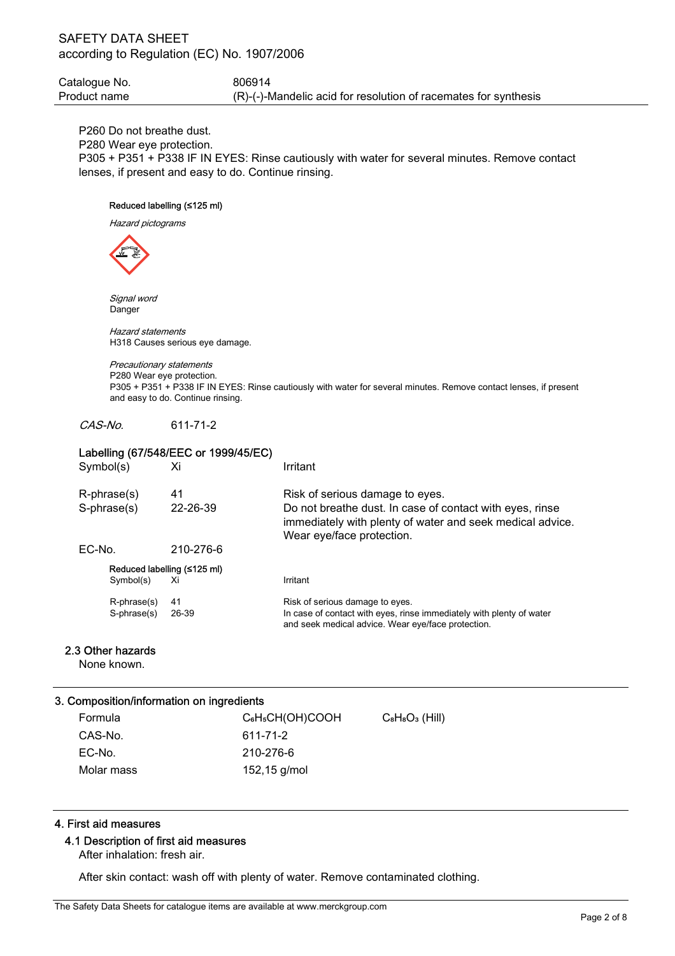Catalogue No. 6806914 Product name (R)-(-)-Mandelic acid for resolution of racemates for synthesis

P260 Do not breathe dust.

P280 Wear eye protection.

P305 + P351 + P338 IF IN EYES: Rinse cautiously with water for several minutes. Remove contact lenses, if present and easy to do. Continue rinsing.

## Reduced labelling (≤125 ml)

Hazard pictograms



 Signal word Danger

 Hazard statements H318 Causes serious eye damage.

#### Precautionary statements P280 Wear eye protection.

P305 + P351 + P338 IF IN EYES: Rinse cautiously with water for several minutes. Remove contact lenses, if present and easy to do. Continue rinsing.

CAS-No. 611-71-2

| Labelling (67/548/EEC or 1999/45/EC) |                                |           |                                                                                                                                                    |
|--------------------------------------|--------------------------------|-----------|----------------------------------------------------------------------------------------------------------------------------------------------------|
| Symbol(s)                            |                                | Xi        | Irritant                                                                                                                                           |
|                                      | $R$ -phrase $(s)$              | 41        | Risk of serious damage to eyes.                                                                                                                    |
|                                      | S-phrase(s)                    | 22-26-39  | Do not breathe dust. In case of contact with eyes, rinse<br>immediately with plenty of water and seek medical advice.<br>Wear eye/face protection. |
| $EC-No$                              |                                | 210-276-6 |                                                                                                                                                    |
|                                      | Reduced labelling $($ ≤125 ml) |           |                                                                                                                                                    |
|                                      | Symbol(s)                      | Xi        | Irritant                                                                                                                                           |
|                                      | R-phrase(s)                    | 41        | Risk of serious damage to eyes.                                                                                                                    |
|                                      | S-phrase(s)                    | 26-39     | In case of contact with eyes, rinse immediately with plenty of water<br>and seek medical advice. Wear eye/face protection.                         |

## 2.3 Other hazards

None known.

## 3. Composition/information on ingredients

| Formula    | C <sub>6</sub> H <sub>5</sub> CH(OH)COOH | $C_8H_8O_3$ (Hill) |
|------------|------------------------------------------|--------------------|
| CAS-No.    | 611-71-2                                 |                    |
| EC-No.     | 210-276-6                                |                    |
| Molar mass | 152,15 g/mol                             |                    |

## 4. First aid measures

### 4.1 Description of first aid measures

After inhalation: fresh air.

After skin contact: wash off with plenty of water. Remove contaminated clothing.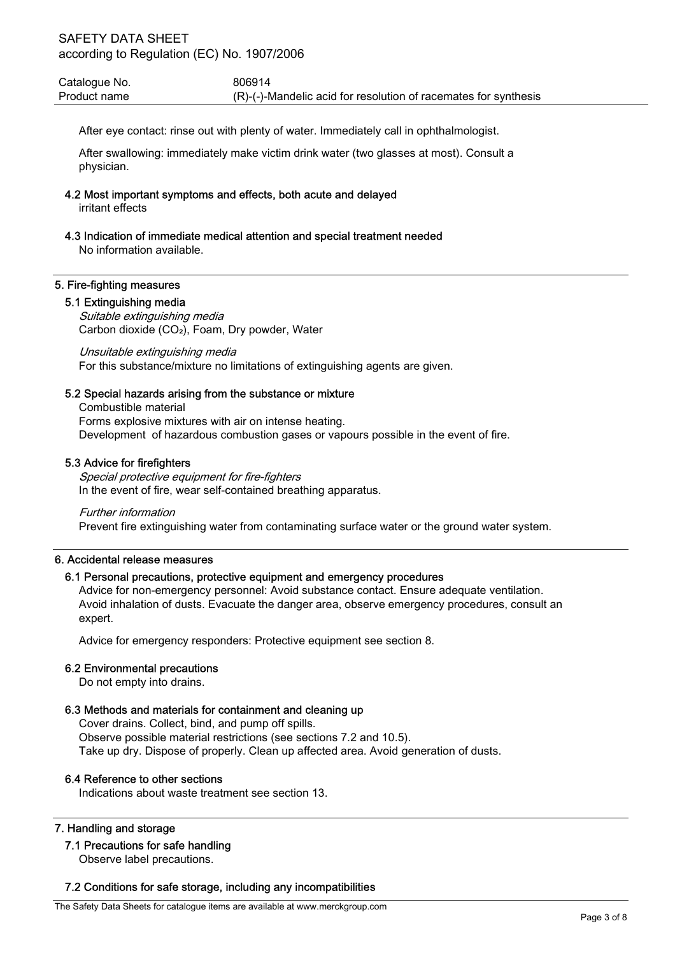Catalogue No. 6806914 Product name (R)-(-)-Mandelic acid for resolution of racemates for synthesis

After eye contact: rinse out with plenty of water. Immediately call in ophthalmologist.

After swallowing: immediately make victim drink water (two glasses at most). Consult a physician.

4.2 Most important symptoms and effects, both acute and delayed

irritant effects

4.3 Indication of immediate medical attention and special treatment needed

No information available.

## 5. Fire-fighting measures

# 5.1 Extinguishing media

Suitable extinguishing media Carbon dioxide (CO₂), Foam, Dry powder, Water

Unsuitable extinguishing media For this substance/mixture no limitations of extinguishing agents are given.

## 5.2 Special hazards arising from the substance or mixture

Combustible material Forms explosive mixtures with air on intense heating. Development of hazardous combustion gases or vapours possible in the event of fire.

## 5.3 Advice for firefighters

Special protective equipment for fire-fighters In the event of fire, wear self-contained breathing apparatus.

#### Further information

Prevent fire extinguishing water from contaminating surface water or the ground water system.

### 6. Accidental release measures

# 6.1 Personal precautions, protective equipment and emergency procedures

Advice for non-emergency personnel: Avoid substance contact. Ensure adequate ventilation. Avoid inhalation of dusts. Evacuate the danger area, observe emergency procedures, consult an expert.

Advice for emergency responders: Protective equipment see section 8.

# 6.2 Environmental precautions

Do not empty into drains.

# 6.3 Methods and materials for containment and cleaning up

Cover drains. Collect, bind, and pump off spills. Observe possible material restrictions (see sections 7.2 and 10.5). Take up dry. Dispose of properly. Clean up affected area. Avoid generation of dusts.

# 6.4 Reference to other sections

Indications about waste treatment see section 13.

# 7. Handling and storage

# 7.1 Precautions for safe handling

Observe label precautions.

# 7.2 Conditions for safe storage, including any incompatibilities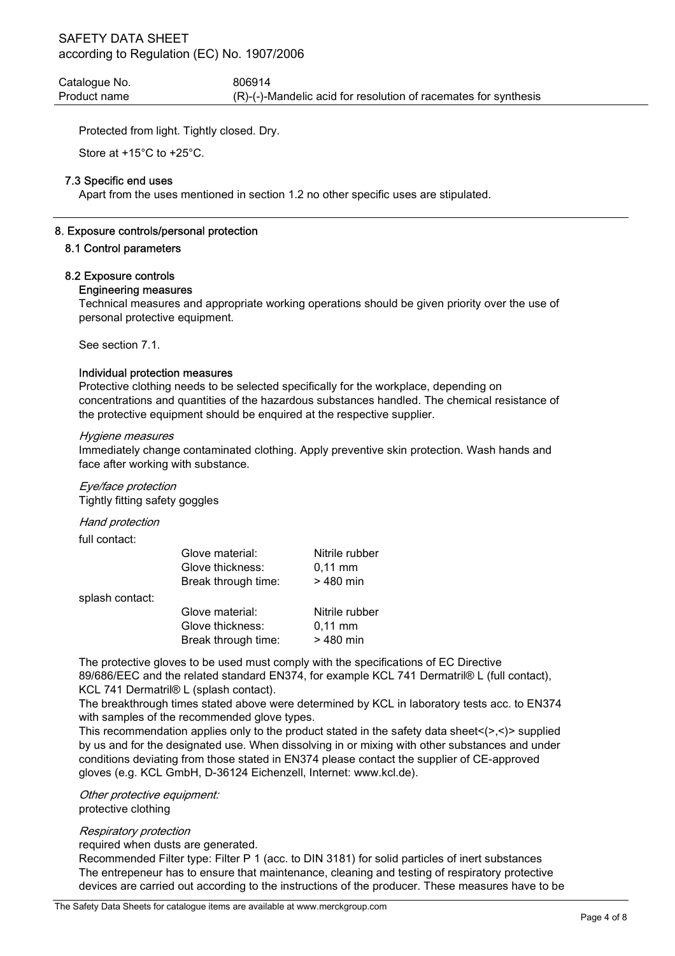Catalogue No. 606914 Product name (R)-(-)-Mandelic acid for resolution of racemates for synthesis

Protected from light. Tightly closed. Dry.

Store at +15°C to +25°C.

#### 7.3 Specific end uses

Apart from the uses mentioned in section 1.2 no other specific uses are stipulated.

#### 8. Exposure controls/personal protection

#### 8.1 Control parameters

#### 8.2 Exposure controls

#### Engineering measures

Technical measures and appropriate working operations should be given priority over the use of personal protective equipment.

See section 7.1.

#### Individual protection measures

Protective clothing needs to be selected specifically for the workplace, depending on concentrations and quantities of the hazardous substances handled. The chemical resistance of the protective equipment should be enquired at the respective supplier.

#### Hygiene measures

Immediately change contaminated clothing. Apply preventive skin protection. Wash hands and face after working with substance.

Eye/face protection Tightly fitting safety goggles

Hand protection

full contact:

| Glove material:     | Nitrile rubber      |
|---------------------|---------------------|
| Glove thickness:    | $0.11 \, \text{mm}$ |
| Break through time: | $>480$ min          |
|                     |                     |

splash contact:

| Glove material:     | Nitrile rubber      |
|---------------------|---------------------|
| Glove thickness:    | $0.11 \, \text{mm}$ |
| Break through time: | $>480$ min          |

The protective gloves to be used must comply with the specifications of EC Directive 89/686/EEC and the related standard EN374, for example KCL 741 Dermatril® L (full contact), KCL 741 Dermatril® L (splash contact).

The breakthrough times stated above were determined by KCL in laboratory tests acc. to EN374 with samples of the recommended glove types.

This recommendation applies only to the product stated in the safety data sheet $\langle \rangle$ , $\langle \rangle$  supplied by us and for the designated use. When dissolving in or mixing with other substances and under conditions deviating from those stated in EN374 please contact the supplier of CE-approved gloves (e.g. KCL GmbH, D-36124 Eichenzell, Internet: www.kcl.de).

Other protective equipment: protective clothing

#### Respiratory protection

required when dusts are generated.

Recommended Filter type: Filter P 1 (acc. to DIN 3181) for solid particles of inert substances The entrepeneur has to ensure that maintenance, cleaning and testing of respiratory protective devices are carried out according to the instructions of the producer. These measures have to be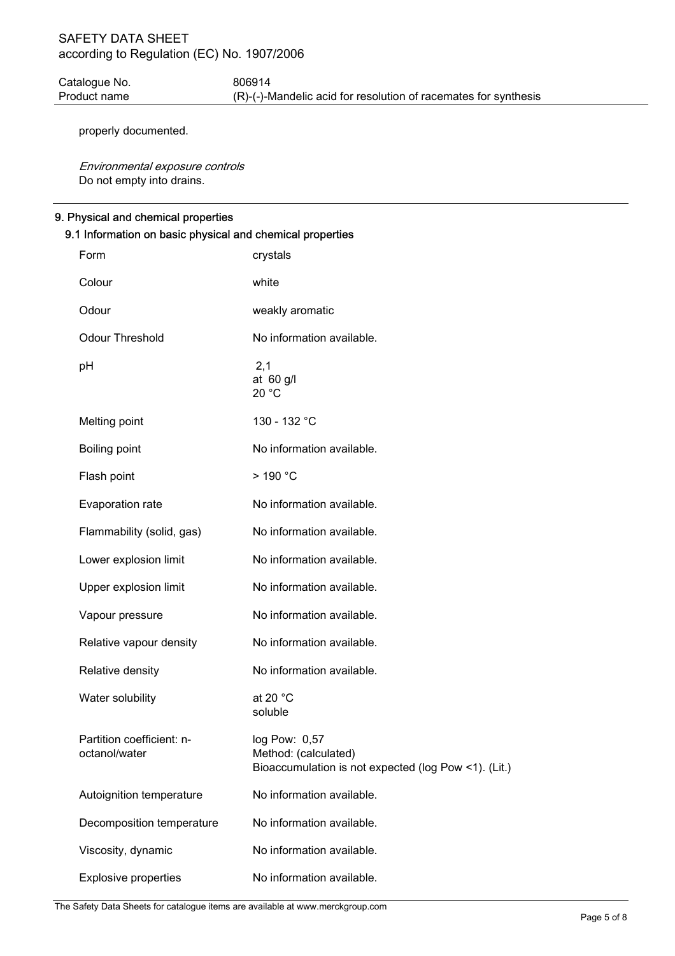Catalogue No. 6806914 Product name (R)-(-)-Mandelic acid for resolution of racemates for synthesis

properly documented.

Environmental exposure controls Do not empty into drains.

#### 9. Physical and chemical properties

| 9.1 Information on basic physical and chemical properties |                                            |                                                                                               |  |
|-----------------------------------------------------------|--------------------------------------------|-----------------------------------------------------------------------------------------------|--|
|                                                           | Form                                       | crystals                                                                                      |  |
|                                                           | Colour                                     | white                                                                                         |  |
|                                                           | Odour                                      | weakly aromatic                                                                               |  |
|                                                           | Odour Threshold                            | No information available.                                                                     |  |
|                                                           | pH                                         | 2,1<br>at $60$ g/l<br>20 °C                                                                   |  |
|                                                           | Melting point                              | 130 - 132 °C                                                                                  |  |
|                                                           | Boiling point                              | No information available.                                                                     |  |
|                                                           | Flash point                                | $>$ 190 $^{\circ}$ C                                                                          |  |
|                                                           | Evaporation rate                           | No information available.                                                                     |  |
|                                                           | Flammability (solid, gas)                  | No information available.                                                                     |  |
|                                                           | Lower explosion limit                      | No information available.                                                                     |  |
|                                                           | Upper explosion limit                      | No information available.                                                                     |  |
|                                                           | Vapour pressure                            | No information available.                                                                     |  |
|                                                           | Relative vapour density                    | No information available.                                                                     |  |
|                                                           | Relative density                           | No information available.                                                                     |  |
|                                                           | Water solubility                           | at 20 $^{\circ}$ C<br>soluble                                                                 |  |
|                                                           | Partition coefficient: n-<br>octanol/water | log Pow: 0,57<br>Method: (calculated)<br>Bioaccumulation is not expected (log Pow <1). (Lit.) |  |
|                                                           | Autoignition temperature                   | No information available.                                                                     |  |
|                                                           | Decomposition temperature                  | No information available.                                                                     |  |
|                                                           | Viscosity, dynamic                         | No information available.                                                                     |  |
|                                                           | <b>Explosive properties</b>                | No information available.                                                                     |  |

The Safety Data Sheets for catalogue items are available at www.merckgroup.com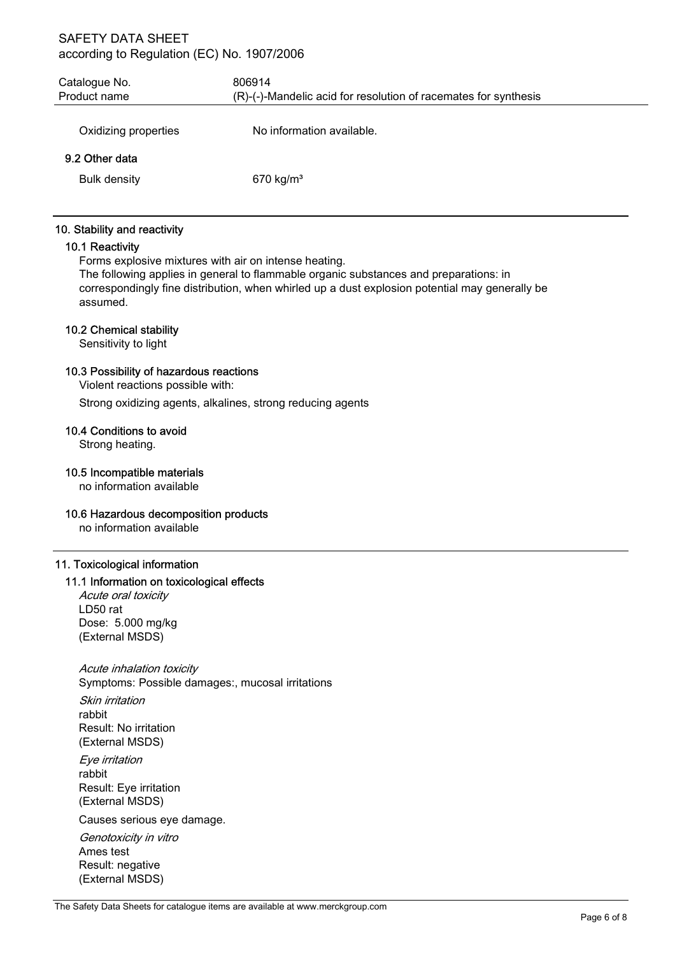| Catalogue No.<br>Product name         | 806914<br>(R)-(-)-Mandelic acid for resolution of racemates for synthesis |
|---------------------------------------|---------------------------------------------------------------------------|
| Oxidizing properties                  | No information available.                                                 |
| 9.2 Other data<br><b>Bulk density</b> | 670 $kg/m3$                                                               |

#### 10. Stability and reactivity

### 10.1 Reactivity

Forms explosive mixtures with air on intense heating.

The following applies in general to flammable organic substances and preparations: in correspondingly fine distribution, when whirled up a dust explosion potential may generally be assumed.

#### 10.2 Chemical stability

Sensitivity to light

### 10.3 Possibility of hazardous reactions

Violent reactions possible with:

Strong oxidizing agents, alkalines, strong reducing agents

## 10.4 Conditions to avoid

Strong heating.

#### 10.5 Incompatible materials

no information available

#### 10.6 Hazardous decomposition products

no information available

#### 11. Toxicological information

#### 11.1 Information on toxicological effects

Acute oral toxicity LD50 rat Dose: 5.000 mg/kg (External MSDS)

Acute inhalation toxicity Symptoms: Possible damages:, mucosal irritations

Skin irritation rabbit Result: No irritation (External MSDS)

Eye irritation rabbit Result: Eye irritation (External MSDS)

Causes serious eye damage.

Genotoxicity in vitro Ames test Result: negative (External MSDS)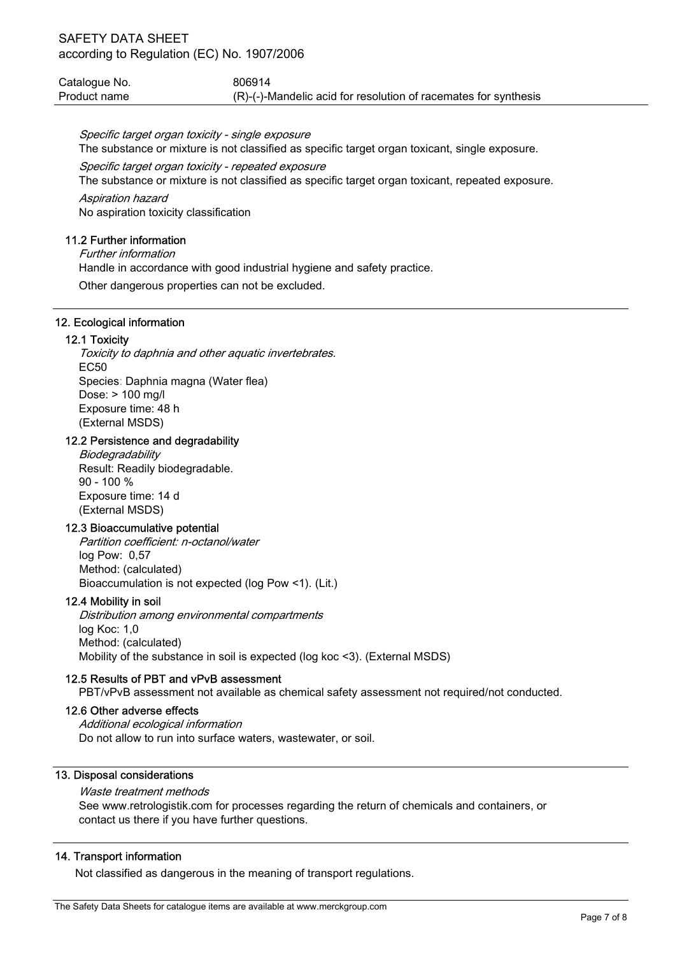| Catalogue No. | 806914                                                             |
|---------------|--------------------------------------------------------------------|
| Product name  | $(R)$ -(-)-Mandelic acid for resolution of racemates for synthesis |

Specific target organ toxicity - single exposure

The substance or mixture is not classified as specific target organ toxicant, single exposure.

#### Specific target organ toxicity - repeated exposure

The substance or mixture is not classified as specific target organ toxicant, repeated exposure.

Aspiration hazard No aspiration toxicity classification

## 11.2 Further information

Further information Handle in accordance with good industrial hygiene and safety practice. Other dangerous properties can not be excluded.

### 12. Ecological information

### 12.1 Toxicity

Toxicity to daphnia and other aquatic invertebrates. EC50 Species: Daphnia magna (Water flea) Dose: > 100 mg/l Exposure time: 48 h (External MSDS)

# 12.2 Persistence and degradability

**Biodegradability** Result: Readily biodegradable.  $90 - 100 %$ Exposure time: 14 d (External MSDS)

# 12.3 Bioaccumulative potential

Partition coefficient: n-octanol/water log Pow: 0,57 Method: (calculated) Bioaccumulation is not expected (log Pow <1). (Lit.)

#### 12.4 Mobility in soil

Distribution among environmental compartments log Koc: 1,0 Method: (calculated) Mobility of the substance in soil is expected (log koc <3). (External MSDS)

#### 12.5 Results of PBT and vPvB assessment

PBT/vPvB assessment not available as chemical safety assessment not required/not conducted.

### 12.6 Other adverse effects

Additional ecological information Do not allow to run into surface waters, wastewater, or soil.

## 13. Disposal considerations

# Waste treatment methods

See www.retrologistik.com for processes regarding the return of chemicals and containers, or contact us there if you have further questions.

### 14. Transport information

Not classified as dangerous in the meaning of transport regulations.